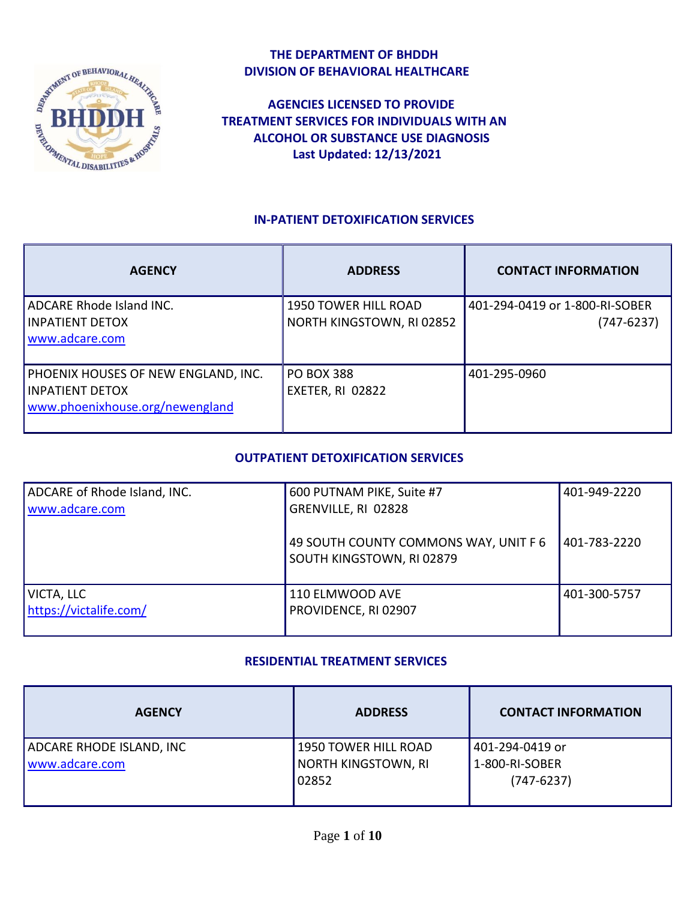

### **THE DEPARTMENT OF BHDDH DIVISION OF BEHAVIORAL HEALTHCARE**

 **AGENCIES LICENSED TO PROVIDE TREATMENT SERVICES FOR INDIVIDUALS WITH AN ALCOHOL OR SUBSTANCE USE DIAGNOSIS Last Updated: 12/13/2021**

### **IN-PATIENT DETOXIFICATION SERVICES**

| <b>AGENCY</b>                       | <b>ADDRESS</b>            | <b>CONTACT INFORMATION</b>     |
|-------------------------------------|---------------------------|--------------------------------|
| ADCARE Rhode Island INC.            | 1950 TOWER HILL ROAD      | 401-294-0419 or 1-800-RI-SOBER |
| <b>INPATIENT DETOX</b>              | NORTH KINGSTOWN, RI 02852 | $(747 - 6237)$                 |
| www.adcare.com                      |                           |                                |
|                                     |                           |                                |
| PHOENIX HOUSES OF NEW ENGLAND, INC. | <b>PO BOX 388</b>         | 401-295-0960                   |
| <b>INPATIENT DETOX</b>              | EXETER, RI 02822          |                                |
| www.phoenixhouse.org/newengland     |                           |                                |
|                                     |                           |                                |

### **OUTPATIENT DETOXIFICATION SERVICES**

| ADCARE of Rhode Island, INC.<br>www.adcare.com | 600 PUTNAM PIKE, Suite #7<br>GRENVILLE, RI 02828                   | 401-949-2220 |
|------------------------------------------------|--------------------------------------------------------------------|--------------|
|                                                | 49 SOUTH COUNTY COMMONS WAY, UNIT F 6<br>SOUTH KINGSTOWN, RI 02879 | 401-783-2220 |
| VICTA, LLC<br>https://victalife.com/           | 110 ELMWOOD AVE<br>PROVIDENCE, RI 02907                            | 401-300-5757 |

#### **RESIDENTIAL TREATMENT SERVICES**

| <b>AGENCY</b>            | <b>ADDRESS</b>       | <b>CONTACT INFORMATION</b> |
|--------------------------|----------------------|----------------------------|
| ADCARE RHODE ISLAND, INC | 1950 TOWER HILL ROAD | l 401-294-0419 or          |
| www.adcare.com           | NORTH KINGSTOWN, RI  | 1-800-RI-SOBER             |
|                          | 02852                | $(747-6237)$               |
|                          |                      |                            |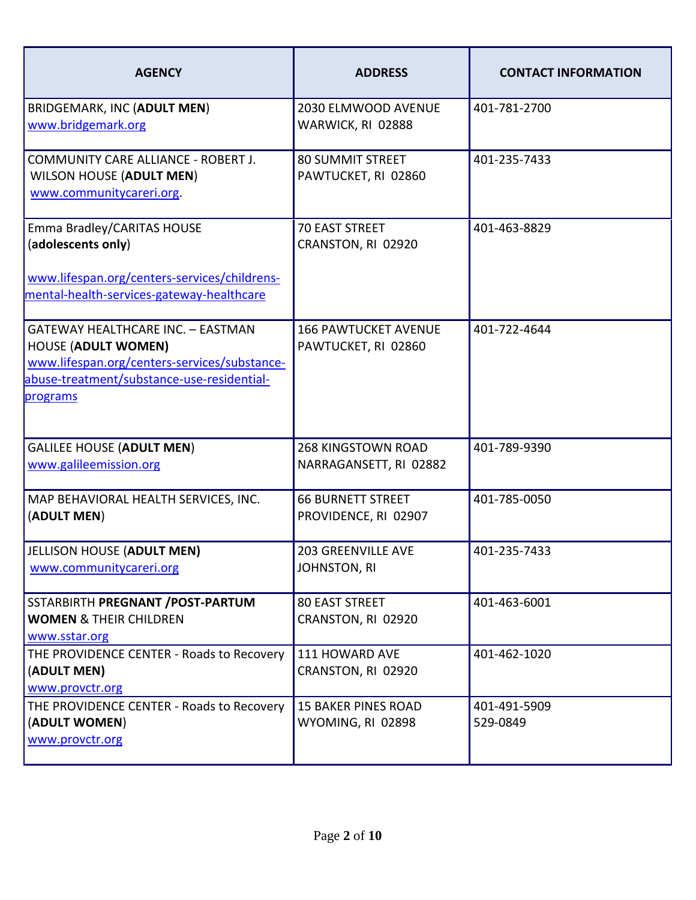| <b>AGENCY</b>                                                                                                                                                                    | <b>ADDRESS</b>                                      | <b>CONTACT INFORMATION</b> |
|----------------------------------------------------------------------------------------------------------------------------------------------------------------------------------|-----------------------------------------------------|----------------------------|
| <b>BRIDGEMARK, INC (ADULT MEN)</b><br>www.bridgemark.org                                                                                                                         | 2030 ELMWOOD AVENUE<br>WARWICK, RI 02888            | 401-781-2700               |
| COMMUNITY CARE ALLIANCE - ROBERT J.<br><b>WILSON HOUSE (ADULT MEN)</b><br>www.communitycareri.org.                                                                               | <b>80 SUMMIT STREET</b><br>PAWTUCKET, RI 02860      | 401-235-7433               |
| Emma Bradley/CARITAS HOUSE<br>(adolescents only)<br>www.lifespan.org/centers-services/childrens-<br>mental-health-services-gateway-healthcare                                    | <b>70 EAST STREET</b><br>CRANSTON, RI 02920         | 401-463-8829               |
| <b>GATEWAY HEALTHCARE INC. - EASTMAN</b><br><b>HOUSE (ADULT WOMEN)</b><br>www.lifespan.org/centers-services/substance-<br>abuse-treatment/substance-use-residential-<br>programs | <b>166 PAWTUCKET AVENUE</b><br>PAWTUCKET, RI 02860  | 401-722-4644               |
| <b>GALILEE HOUSE (ADULT MEN)</b><br>www.galileemission.org                                                                                                                       | <b>268 KINGSTOWN ROAD</b><br>NARRAGANSETT, RI 02882 | 401-789-9390               |
| MAP BEHAVIORAL HEALTH SERVICES, INC.<br>(ADULT MEN)                                                                                                                              | <b>66 BURNETT STREET</b><br>PROVIDENCE, RI 02907    | 401-785-0050               |
| JELLISON HOUSE (ADULT MEN)<br>www.communitycareri.org                                                                                                                            | <b>203 GREENVILLE AVE</b><br>JOHNSTON, RI           | 401-235-7433               |
| SSTARBIRTH PREGNANT / POST-PARTUM<br><b>WOMEN &amp; THEIR CHILDREN</b><br>www.sstar.org                                                                                          | <b>80 EAST STREET</b><br>CRANSTON, RI 02920         | 401-463-6001               |
| THE PROVIDENCE CENTER - Roads to Recovery<br>(ADULT MEN)<br>www.provctr.org                                                                                                      | 111 HOWARD AVE<br>CRANSTON, RI 02920                | 401-462-1020               |
| THE PROVIDENCE CENTER - Roads to Recovery<br>(ADULT WOMEN)<br>www.provctr.org                                                                                                    | <b>15 BAKER PINES ROAD</b><br>WYOMING, RI 02898     | 401-491-5909<br>529-0849   |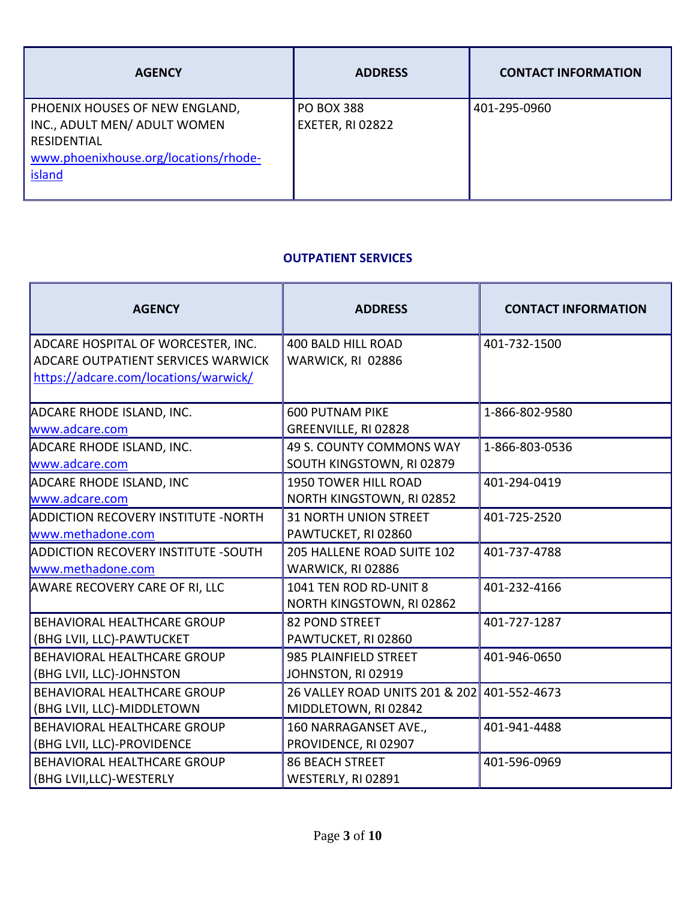| <b>AGENCY</b>                                                                                                                                  | <b>ADDRESS</b>                        | <b>CONTACT INFORMATION</b> |
|------------------------------------------------------------------------------------------------------------------------------------------------|---------------------------------------|----------------------------|
| PHOENIX HOUSES OF NEW ENGLAND,<br>INC., ADULT MEN/ ADULT WOMEN<br><b>RESIDENTIAL</b><br>www.phoenixhouse.org/locations/rhode-<br><b>island</b> | <b>PO BOX 388</b><br>EXETER, RI 02822 | 401-295-0960               |

### **OUTPATIENT SERVICES**

| <b>AGENCY</b>                                                                                                     | <b>ADDRESS</b>                                                      | <b>CONTACT INFORMATION</b> |
|-------------------------------------------------------------------------------------------------------------------|---------------------------------------------------------------------|----------------------------|
| ADCARE HOSPITAL OF WORCESTER, INC.<br>ADCARE OUTPATIENT SERVICES WARWICK<br>https://adcare.com/locations/warwick/ | <b>400 BALD HILL ROAD</b><br>WARWICK, RI 02886                      | 401-732-1500               |
| ADCARE RHODE ISLAND, INC.<br>www.adcare.com                                                                       | <b>600 PUTNAM PIKE</b><br>GREENVILLE, RI 02828                      | 1-866-802-9580             |
| <b>ADCARE RHODE ISLAND, INC.</b><br>www.adcare.com                                                                | 49 S. COUNTY COMMONS WAY<br>SOUTH KINGSTOWN, RI 02879               | 1-866-803-0536             |
| <b>ADCARE RHODE ISLAND, INC</b><br>www.adcare.com                                                                 | 1950 TOWER HILL ROAD<br>NORTH KINGSTOWN, RI 02852                   | 401-294-0419               |
| <b>ADDICTION RECOVERY INSTITUTE -NORTH</b><br>www.methadone.com                                                   | <b>31 NORTH UNION STREET</b><br>PAWTUCKET, RI 02860                 | 401-725-2520               |
| <b>ADDICTION RECOVERY INSTITUTE -SOUTH</b><br>www.methadone.com                                                   | 205 HALLENE ROAD SUITE 102<br>WARWICK, RI 02886                     | 401-737-4788               |
| <b>AWARE RECOVERY CARE OF RI, LLC</b>                                                                             | 1041 TEN ROD RD-UNIT 8<br>NORTH KINGSTOWN, RI 02862                 | 401-232-4166               |
| <b>BEHAVIORAL HEALTHCARE GROUP</b><br>(BHG LVII, LLC)-PAWTUCKET                                                   | <b>82 POND STREET</b><br>PAWTUCKET, RI 02860                        | 401-727-1287               |
| BEHAVIORAL HEALTHCARE GROUP<br>(BHG LVII, LLC)-JOHNSTON                                                           | 985 PLAINFIELD STREET<br>JOHNSTON, RI 02919                         | 401-946-0650               |
| <b>BEHAVIORAL HEALTHCARE GROUP</b><br>(BHG LVII, LLC)-MIDDLETOWN                                                  | 26 VALLEY ROAD UNITS 201 & 202 401-552-4673<br>MIDDLETOWN, RI 02842 |                            |
| BEHAVIORAL HEALTHCARE GROUP<br>(BHG LVII, LLC)-PROVIDENCE                                                         | 160 NARRAGANSET AVE.,<br>PROVIDENCE, RI 02907                       | 401-941-4488               |
| BEHAVIORAL HEALTHCARE GROUP<br>(BHG LVII, LLC)-WESTERLY                                                           | <b>86 BEACH STREET</b><br>WESTERLY, RI 02891                        | 401-596-0969               |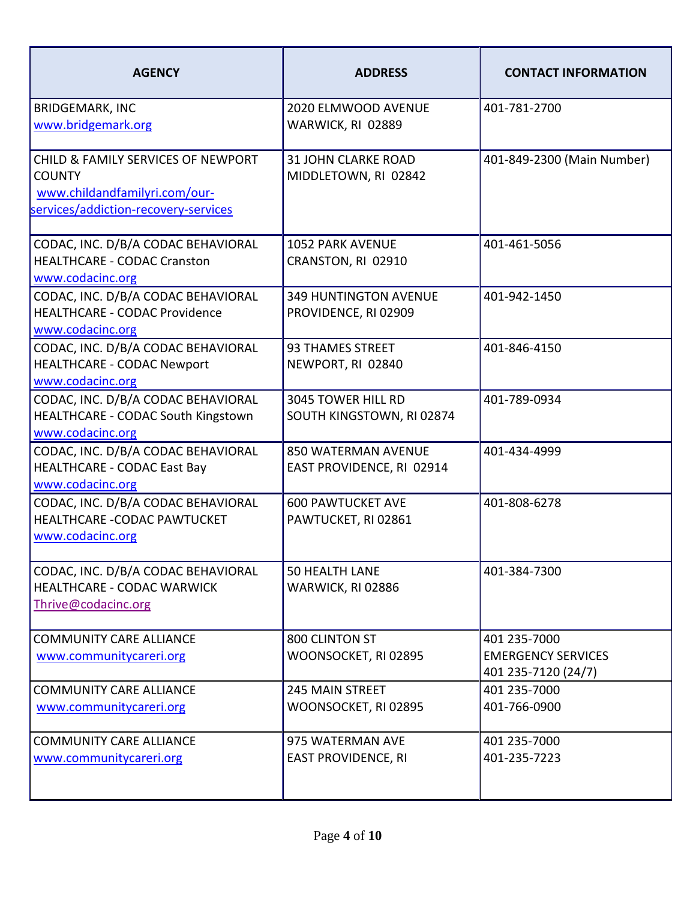| <b>AGENCY</b>                                                                                                                | <b>ADDRESS</b>                                          | <b>CONTACT INFORMATION</b>                                       |
|------------------------------------------------------------------------------------------------------------------------------|---------------------------------------------------------|------------------------------------------------------------------|
| <b>BRIDGEMARK, INC</b><br>www.bridgemark.org                                                                                 | 2020 ELMWOOD AVENUE<br>WARWICK, RI 02889                | 401-781-2700                                                     |
| CHILD & FAMILY SERVICES OF NEWPORT<br><b>COUNTY</b><br>www.childandfamilyri.com/our-<br>services/addiction-recovery-services | <b>31 JOHN CLARKE ROAD</b><br>MIDDLETOWN, RI 02842      | 401-849-2300 (Main Number)                                       |
| CODAC, INC. D/B/A CODAC BEHAVIORAL<br><b>HEALTHCARE - CODAC Cranston</b><br>www.codacinc.org                                 | <b>1052 PARK AVENUE</b><br>CRANSTON, RI 02910           | 401-461-5056                                                     |
| CODAC, INC. D/B/A CODAC BEHAVIORAL<br><b>HEALTHCARE - CODAC Providence</b><br>www.codacinc.org                               | <b>349 HUNTINGTON AVENUE</b><br>PROVIDENCE, RI 02909    | 401-942-1450                                                     |
| CODAC, INC. D/B/A CODAC BEHAVIORAL<br><b>HEALTHCARE - CODAC Newport</b><br>www.codacinc.org                                  | <b>93 THAMES STREET</b><br>NEWPORT, RI 02840            | 401-846-4150                                                     |
| CODAC, INC. D/B/A CODAC BEHAVIORAL<br>HEALTHCARE - CODAC South Kingstown<br>www.codacinc.org                                 | 3045 TOWER HILL RD<br>SOUTH KINGSTOWN, RI 02874         | 401-789-0934                                                     |
| CODAC, INC. D/B/A CODAC BEHAVIORAL<br><b>HEALTHCARE - CODAC East Bay</b><br>www.codacinc.org                                 | <b>850 WATERMAN AVENUE</b><br>EAST PROVIDENCE, RI 02914 | 401-434-4999                                                     |
| CODAC, INC. D/B/A CODAC BEHAVIORAL<br><b>HEALTHCARE -CODAC PAWTUCKET</b><br>www.codacinc.org                                 | <b>600 PAWTUCKET AVE</b><br>PAWTUCKET, RI 02861         | 401-808-6278                                                     |
| CODAC, INC. D/B/A CODAC BEHAVIORAL<br><b>HEALTHCARE - CODAC WARWICK</b><br>Thrive@codacinc.org                               | 50 HEALTH LANE<br>WARWICK, RI 02886                     | 401-384-7300                                                     |
| <b>COMMUNITY CARE ALLIANCE</b><br>www.communitycareri.org                                                                    | 800 CLINTON ST<br>WOONSOCKET, RI 02895                  | 401 235-7000<br><b>EMERGENCY SERVICES</b><br>401 235-7120 (24/7) |
| <b>COMMUNITY CARE ALLIANCE</b><br>www.communitycareri.org                                                                    | <b>245 MAIN STREET</b><br>WOONSOCKET, RI 02895          | 401 235-7000<br>401-766-0900                                     |
| <b>COMMUNITY CARE ALLIANCE</b><br>www.communitycareri.org                                                                    | 975 WATERMAN AVE<br><b>EAST PROVIDENCE, RI</b>          | 401 235-7000<br>401-235-7223                                     |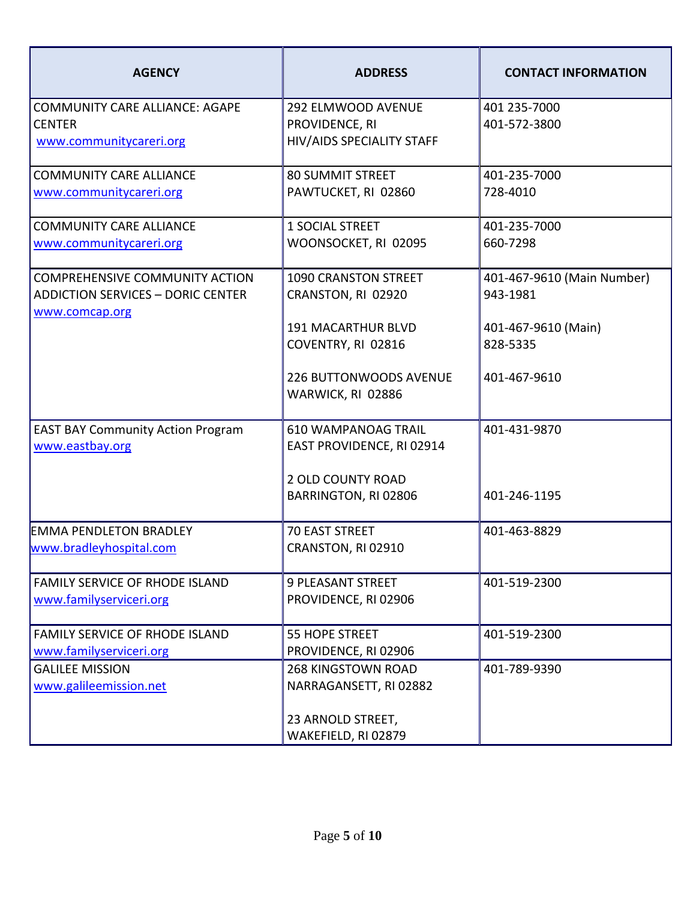| <b>AGENCY</b>                                              | <b>ADDRESS</b>              | <b>CONTACT INFORMATION</b> |
|------------------------------------------------------------|-----------------------------|----------------------------|
| <b>COMMUNITY CARE ALLIANCE: AGAPE</b>                      | <b>292 ELMWOOD AVENUE</b>   | 401 235-7000               |
| <b>CENTER</b>                                              | PROVIDENCE, RI              | 401-572-3800               |
| www.communitycareri.org                                    | HIV/AIDS SPECIALITY STAFF   |                            |
| <b>COMMUNITY CARE ALLIANCE</b>                             | <b>80 SUMMIT STREET</b>     | 401-235-7000               |
| www.communitycareri.org                                    | PAWTUCKET, RI 02860         | 728-4010                   |
| <b>COMMUNITY CARE ALLIANCE</b>                             | 1 SOCIAL STREET             | 401-235-7000               |
| www.communitycareri.org                                    | WOONSOCKET, RI 02095        | 660-7298                   |
| <b>COMPREHENSIVE COMMUNITY ACTION</b>                      | <b>1090 CRANSTON STREET</b> | 401-467-9610 (Main Number) |
| <b>ADDICTION SERVICES - DORIC CENTER</b><br>www.comcap.org | CRANSTON, RI 02920          | 943-1981                   |
|                                                            | <b>191 MACARTHUR BLVD</b>   | 401-467-9610 (Main)        |
|                                                            | COVENTRY, RI 02816          | 828-5335                   |
|                                                            | 226 BUTTONWOODS AVENUE      | 401-467-9610               |
|                                                            | WARWICK, RI 02886           |                            |
| <b>EAST BAY Community Action Program</b>                   | <b>610 WAMPANOAG TRAIL</b>  | 401-431-9870               |
| www.eastbay.org                                            | EAST PROVIDENCE, RI 02914   |                            |
|                                                            | <b>2 OLD COUNTY ROAD</b>    |                            |
|                                                            | BARRINGTON, RI 02806        | 401-246-1195               |
| <b>EMMA PENDLETON BRADLEY</b>                              | <b>70 EAST STREET</b>       | 401-463-8829               |
| www.bradleyhospital.com                                    | CRANSTON, RI 02910          |                            |
| <b>FAMILY SERVICE OF RHODE ISLAND</b>                      | <b>9 PLEASANT STREET</b>    | 401-519-2300               |
| www.familyserviceri.org                                    | PROVIDENCE, RI 02906        |                            |
| <b>FAMILY SERVICE OF RHODE ISLAND</b>                      | <b>55 HOPE STREET</b>       | 401-519-2300               |
| www.familyserviceri.org                                    | PROVIDENCE, RI 02906        |                            |
| <b>GALILEE MISSION</b>                                     | <b>268 KINGSTOWN ROAD</b>   | 401-789-9390               |
| www.galileemission.net                                     | NARRAGANSETT, RI 02882      |                            |
|                                                            | 23 ARNOLD STREET,           |                            |
|                                                            | WAKEFIELD, RI 02879         |                            |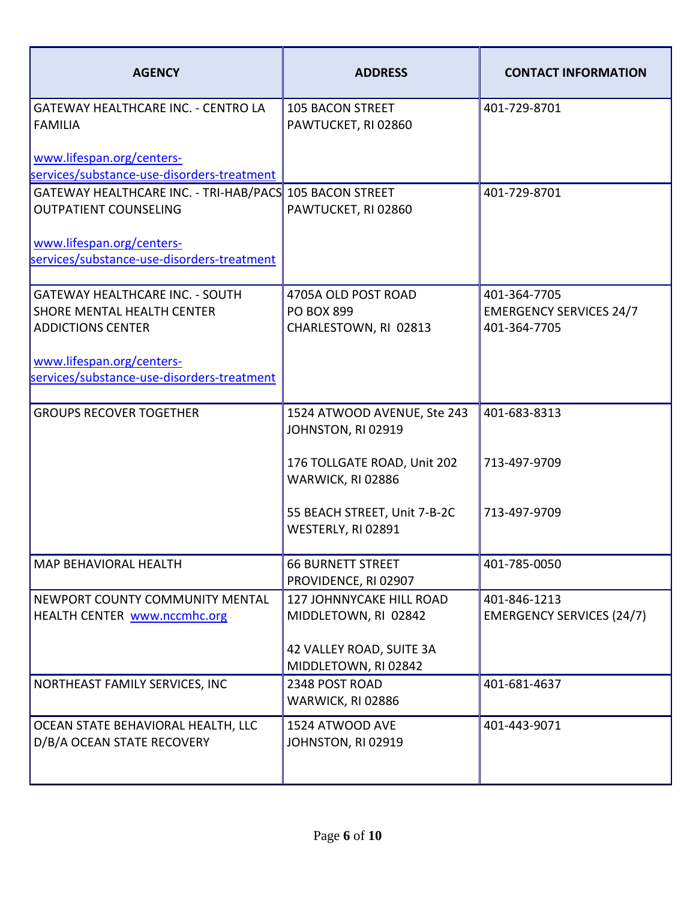| <b>AGENCY</b>                                                                                                                                                               | <b>ADDRESS</b>                                                                                                                                              | <b>CONTACT INFORMATION</b>                                     |
|-----------------------------------------------------------------------------------------------------------------------------------------------------------------------------|-------------------------------------------------------------------------------------------------------------------------------------------------------------|----------------------------------------------------------------|
| <b>GATEWAY HEALTHCARE INC. - CENTRO LA</b><br><b>FAMILIA</b>                                                                                                                | <b>105 BACON STREET</b><br>PAWTUCKET, RI 02860                                                                                                              | 401-729-8701                                                   |
| www.lifespan.org/centers-<br>services/substance-use-disorders-treatment                                                                                                     |                                                                                                                                                             |                                                                |
| GATEWAY HEALTHCARE INC. - TRI-HAB/PACS 105 BACON STREET<br><b>OUTPATIENT COUNSELING</b>                                                                                     | PAWTUCKET, RI 02860                                                                                                                                         | 401-729-8701                                                   |
| www.lifespan.org/centers-<br>services/substance-use-disorders-treatment                                                                                                     |                                                                                                                                                             |                                                                |
| <b>GATEWAY HEALTHCARE INC. - SOUTH</b><br>SHORE MENTAL HEALTH CENTER<br><b>ADDICTIONS CENTER</b><br>www.lifespan.org/centers-<br>services/substance-use-disorders-treatment | 4705A OLD POST ROAD<br><b>PO BOX 899</b><br>CHARLESTOWN, RI 02813                                                                                           | 401-364-7705<br><b>EMERGENCY SERVICES 24/7</b><br>401-364-7705 |
| <b>GROUPS RECOVER TOGETHER</b>                                                                                                                                              | 1524 ATWOOD AVENUE, Ste 243<br>JOHNSTON, RI 02919<br>176 TOLLGATE ROAD, Unit 202<br>WARWICK, RI 02886<br>55 BEACH STREET, Unit 7-B-2C<br>WESTERLY, RI 02891 | 401-683-8313<br>713-497-9709<br>713-497-9709                   |
| <b>MAP BEHAVIORAL HEALTH</b>                                                                                                                                                | <b>66 BURNETT STREET</b><br>PROVIDENCE, RI 02907                                                                                                            | 401-785-0050                                                   |
| NEWPORT COUNTY COMMUNITY MENTAL<br>HEALTH CENTER www.nccmhc.org                                                                                                             | 127 JOHNNYCAKE HILL ROAD<br>MIDDLETOWN, RI 02842<br>42 VALLEY ROAD, SUITE 3A<br>MIDDLETOWN, RI 02842                                                        | 401-846-1213<br><b>EMERGENCY SERVICES (24/7)</b>               |
| NORTHEAST FAMILY SERVICES, INC                                                                                                                                              | 2348 POST ROAD<br>WARWICK, RI 02886                                                                                                                         | 401-681-4637                                                   |
| OCEAN STATE BEHAVIORAL HEALTH, LLC<br>D/B/A OCEAN STATE RECOVERY                                                                                                            | 1524 ATWOOD AVE<br>JOHNSTON, RI 02919                                                                                                                       | 401-443-9071                                                   |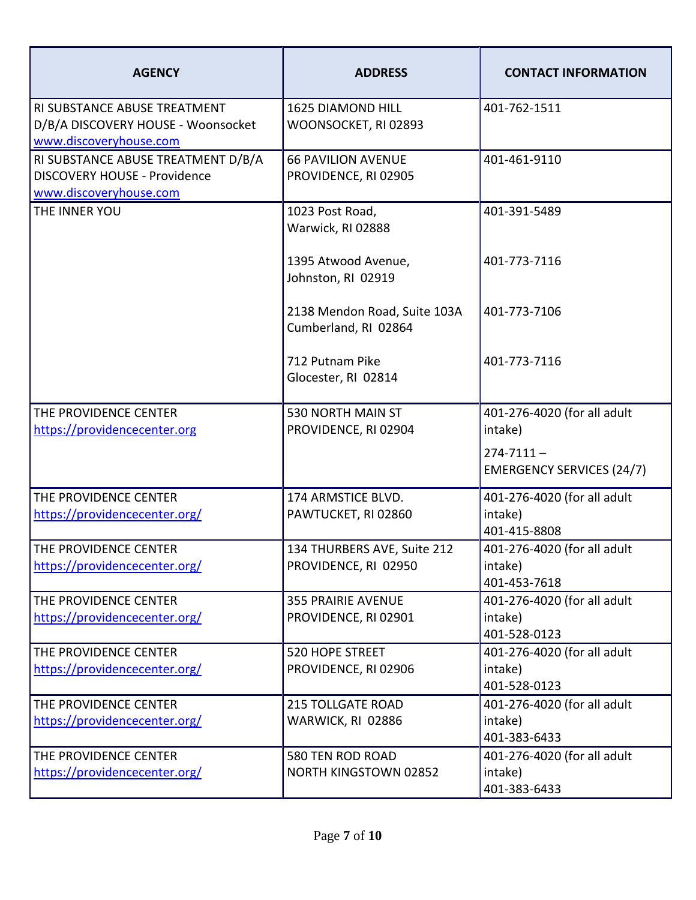| <b>AGENCY</b>                                                                                       | <b>ADDRESS</b>                                       | <b>CONTACT INFORMATION</b>                             |
|-----------------------------------------------------------------------------------------------------|------------------------------------------------------|--------------------------------------------------------|
| RI SUBSTANCE ABUSE TREATMENT<br>D/B/A DISCOVERY HOUSE - Woonsocket<br>www.discoveryhouse.com        | <b>1625 DIAMOND HILL</b><br>WOONSOCKET, RI 02893     | 401-762-1511                                           |
| RI SUBSTANCE ABUSE TREATMENT D/B/A<br><b>DISCOVERY HOUSE - Providence</b><br>www.discoveryhouse.com | <b>66 PAVILION AVENUE</b><br>PROVIDENCE, RI 02905    | 401-461-9110                                           |
| THE INNER YOU                                                                                       | 1023 Post Road,<br>Warwick, RI 02888                 | 401-391-5489                                           |
|                                                                                                     | 1395 Atwood Avenue,<br>Johnston, RI 02919            | 401-773-7116                                           |
|                                                                                                     | 2138 Mendon Road, Suite 103A<br>Cumberland, RI 02864 | 401-773-7106                                           |
|                                                                                                     | 712 Putnam Pike<br>Glocester, RI 02814               | 401-773-7116                                           |
| THE PROVIDENCE CENTER<br>https://providencecenter.org                                               | 530 NORTH MAIN ST<br>PROVIDENCE, RI 02904            | 401-276-4020 (for all adult<br>intake)                 |
|                                                                                                     |                                                      | $274 - 7111 -$<br><b>EMERGENCY SERVICES (24/7)</b>     |
| THE PROVIDENCE CENTER<br>https://providencecenter.org/                                              | 174 ARMSTICE BLVD.<br>PAWTUCKET, RI 02860            | 401-276-4020 (for all adult<br>intake)<br>401-415-8808 |
| THE PROVIDENCE CENTER                                                                               | 134 THURBERS AVE, Suite 212                          | 401-276-4020 (for all adult                            |
| https://providencecenter.org/                                                                       | PROVIDENCE, RI 02950                                 | intake)<br>401-453-7618                                |
| THE PROVIDENCE CENTER<br>https://providencecenter.org/                                              | <b>355 PRAIRIE AVENUE</b><br>PROVIDENCE, RI 02901    | 401-276-4020 (for all adult<br>intake)<br>401-528-0123 |
| THE PROVIDENCE CENTER<br>https://providencecenter.org/                                              | <b>520 HOPE STREET</b><br>PROVIDENCE, RI 02906       | 401-276-4020 (for all adult<br>intake)                 |
|                                                                                                     |                                                      | 401-528-0123                                           |
| THE PROVIDENCE CENTER                                                                               | <b>215 TOLLGATE ROAD</b>                             | 401-276-4020 (for all adult                            |
| https://providencecenter.org/                                                                       | WARWICK, RI 02886                                    | intake)<br>401-383-6433                                |
| THE PROVIDENCE CENTER                                                                               | 580 TEN ROD ROAD                                     | 401-276-4020 (for all adult                            |
| https://providencecenter.org/                                                                       | <b>NORTH KINGSTOWN 02852</b>                         | intake)                                                |
|                                                                                                     |                                                      | 401-383-6433                                           |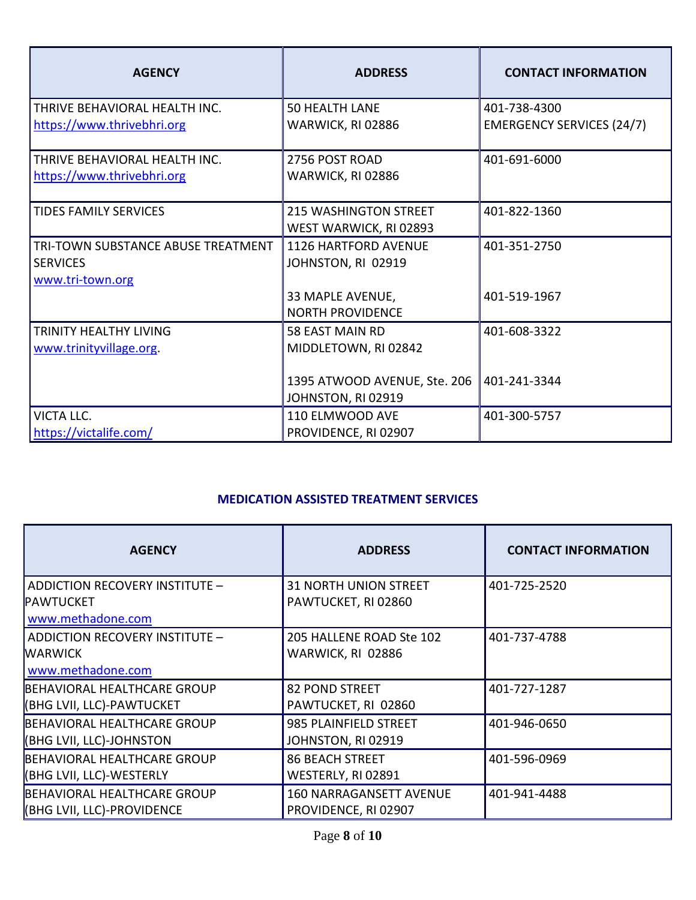| <b>AGENCY</b>                             | <b>ADDRESS</b>               | <b>CONTACT INFORMATION</b>       |
|-------------------------------------------|------------------------------|----------------------------------|
| THRIVE BEHAVIORAL HEALTH INC.             | <b>50 HEALTH LANE</b>        | 401-738-4300                     |
| https://www.thrivebhri.org                | WARWICK, RI 02886            | <b>EMERGENCY SERVICES (24/7)</b> |
| THRIVE BEHAVIORAL HEALTH INC.             | 2756 POST ROAD               | 401-691-6000                     |
| https://www.thrivebhri.org                | WARWICK, RI 02886            |                                  |
| <b>TIDES FAMILY SERVICES</b>              | <b>215 WASHINGTON STREET</b> | 401-822-1360                     |
|                                           | WEST WARWICK, RI 02893       |                                  |
| <b>TRI-TOWN SUBSTANCE ABUSE TREATMENT</b> | <b>1126 HARTFORD AVENUE</b>  | 401-351-2750                     |
| <b>SERVICES</b>                           | JOHNSTON, RI 02919           |                                  |
| www.tri-town.org                          |                              |                                  |
|                                           | 33 MAPLE AVENUE,             | 401-519-1967                     |
|                                           | <b>NORTH PROVIDENCE</b>      |                                  |
| TRINITY HEALTHY LIVING                    | 58 EAST MAIN RD              | 401-608-3322                     |
| www.trinityvillage.org.                   | MIDDLETOWN, RI 02842         |                                  |
|                                           |                              |                                  |
|                                           | 1395 ATWOOD AVENUE, Ste. 206 | 401-241-3344                     |
|                                           | JOHNSTON, RI 02919           |                                  |
| <b>VICTA LLC.</b>                         | 110 ELMWOOD AVE              | 401-300-5757                     |
| https://victalife.com/                    | PROVIDENCE, RI 02907         |                                  |

## **MEDICATION ASSISTED TREATMENT SERVICES**

| <b>AGENCY</b>                         | <b>ADDRESS</b>                 | <b>CONTACT INFORMATION</b> |
|---------------------------------------|--------------------------------|----------------------------|
| ADDICTION RECOVERY INSTITUTE -        | <b>31 NORTH UNION STREET</b>   | 401-725-2520               |
| <b>PAWTUCKET</b><br>www.methadone.com | PAWTUCKET, RI 02860            |                            |
| ADDICTION RECOVERY INSTITUTE -        | 205 HALLENE ROAD Ste 102       | 401-737-4788               |
| <b>WARWICK</b>                        | WARWICK, RI 02886              |                            |
| www.methadone.com                     |                                |                            |
| BEHAVIORAL HEALTHCARE GROUP           | 82 POND STREET                 | 401-727-1287               |
| <b>(BHG LVII, LLC)-PAWTUCKET</b>      | PAWTUCKET, RI 02860            |                            |
| BEHAVIORAL HEALTHCARE GROUP           | 985 PLAINFIELD STREET          | 401-946-0650               |
| <b>(BHG LVII, LLC)-JOHNSTON</b>       | JOHNSTON, RI 02919             |                            |
| BEHAVIORAL HEALTHCARE GROUP           | <b>86 BEACH STREET</b>         | 401-596-0969               |
| <b>(BHG LVII, LLC)-WESTERLY</b>       | WESTERLY, RI 02891             |                            |
| BEHAVIORAL HEALTHCARE GROUP           | <b>160 NARRAGANSETT AVENUE</b> | 401-941-4488               |
| <b>(BHG LVII, LLC)-PROVIDENCE</b>     | PROVIDENCE, RI 02907           |                            |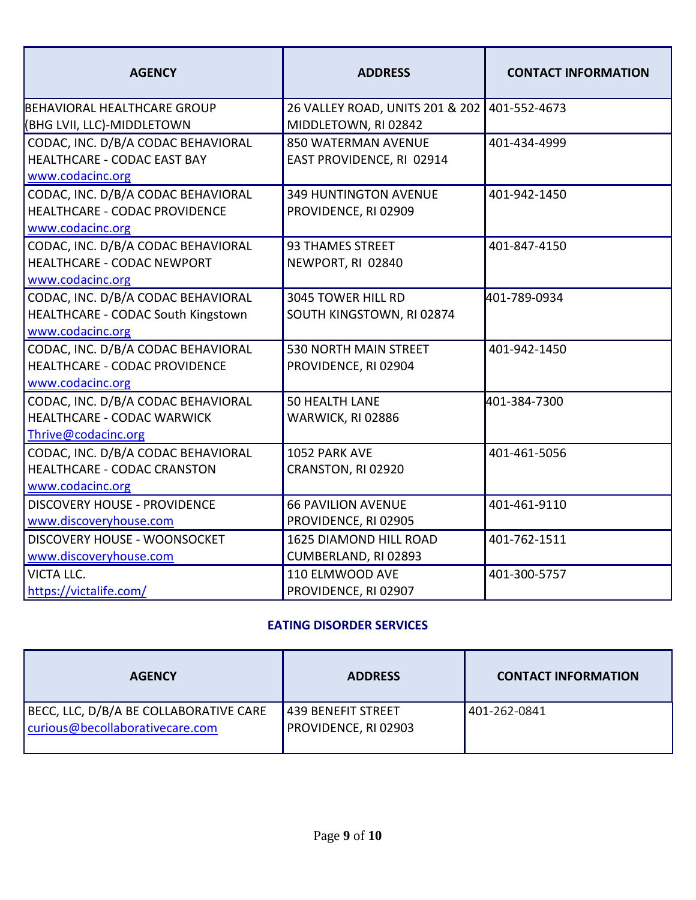| <b>AGENCY</b>                                                                                  | <b>ADDRESS</b>                                          | <b>CONTACT INFORMATION</b> |
|------------------------------------------------------------------------------------------------|---------------------------------------------------------|----------------------------|
| BEHAVIORAL HEALTHCARE GROUP<br>(BHG LVII, LLC)-MIDDLETOWN                                      | 26 VALLEY ROAD, UNITS 201 & 202<br>MIDDLETOWN, RI 02842 | 401-552-4673               |
| CODAC, INC. D/B/A CODAC BEHAVIORAL<br>HEALTHCARE - CODAC EAST BAY<br>www.codacinc.org          | <b>850 WATERMAN AVENUE</b><br>EAST PROVIDENCE, RI 02914 | 401-434-4999               |
| CODAC, INC. D/B/A CODAC BEHAVIORAL<br>HEALTHCARE - CODAC PROVIDENCE<br>www.codacinc.org        | <b>349 HUNTINGTON AVENUE</b><br>PROVIDENCE, RI 02909    | 401-942-1450               |
| CODAC, INC. D/B/A CODAC BEHAVIORAL<br><b>HEALTHCARE - CODAC NEWPORT</b><br>www.codacinc.org    | 93 THAMES STREET<br>NEWPORT, RI 02840                   | 401-847-4150               |
| CODAC, INC. D/B/A CODAC BEHAVIORAL<br>HEALTHCARE - CODAC South Kingstown<br>www.codacinc.org   | 3045 TOWER HILL RD<br>SOUTH KINGSTOWN, RI 02874         | 401-789-0934               |
| CODAC, INC. D/B/A CODAC BEHAVIORAL<br><b>HEALTHCARE - CODAC PROVIDENCE</b><br>www.codacinc.org | <b>530 NORTH MAIN STREET</b><br>PROVIDENCE, RI 02904    | 401-942-1450               |
| CODAC, INC. D/B/A CODAC BEHAVIORAL<br><b>HEALTHCARE - CODAC WARWICK</b><br>Thrive@codacinc.org | <b>50 HEALTH LANE</b><br>WARWICK, RI 02886              | 401-384-7300               |
| CODAC, INC. D/B/A CODAC BEHAVIORAL<br><b>HEALTHCARE - CODAC CRANSTON</b><br>www.codacinc.org   | 1052 PARK AVE<br>CRANSTON, RI 02920                     | 401-461-5056               |
| <b>DISCOVERY HOUSE - PROVIDENCE</b><br>www.discoveryhouse.com                                  | <b>66 PAVILION AVENUE</b><br>PROVIDENCE, RI 02905       | 401-461-9110               |
| <b>DISCOVERY HOUSE - WOONSOCKET</b><br>www.discoveryhouse.com                                  | 1625 DIAMOND HILL ROAD<br>CUMBERLAND, RI 02893          | 401-762-1511               |
| <b>VICTA LLC.</b><br>https://victalife.com/                                                    | 110 ELMWOOD AVE<br>PROVIDENCE, RI 02907                 | 401-300-5757               |

### **EATING DISORDER SERVICES**

| <b>AGENCY</b>                                                             | <b>ADDRESS</b>                                    | <b>CONTACT INFORMATION</b> |
|---------------------------------------------------------------------------|---------------------------------------------------|----------------------------|
| BECC, LLC, D/B/A BE COLLABORATIVE CARE<br>curious@becollaborativecare.com | <b>439 BENEFIT STREET</b><br>PROVIDENCE, RI 02903 | 401-262-0841               |